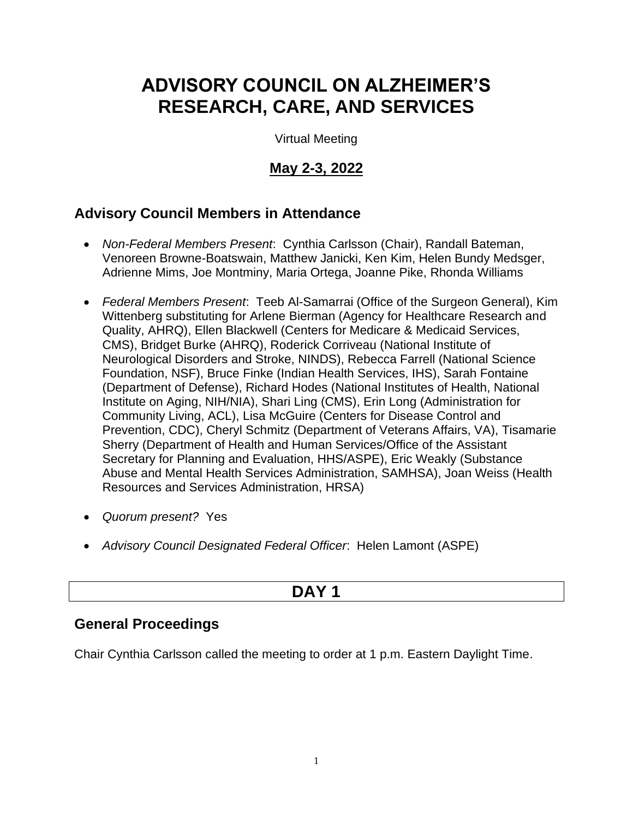# **ADVISORY COUNCIL ON ALZHEIMER'S RESEARCH, CARE, AND SERVICES**

Virtual Meeting

# **May 2-3, 2022**

# **Advisory Council Members in Attendance**

- *Non-Federal Members Present*: Cynthia Carlsson (Chair), Randall Bateman, Venoreen Browne-Boatswain, Matthew Janicki, Ken Kim, Helen Bundy Medsger, Adrienne Mims, Joe Montminy, Maria Ortega, Joanne Pike, Rhonda Williams
- *Federal Members Present*: Teeb Al-Samarrai (Office of the Surgeon General), Kim Wittenberg substituting for Arlene Bierman (Agency for Healthcare Research and Quality, AHRQ), Ellen Blackwell (Centers for Medicare & Medicaid Services, CMS), Bridget Burke (AHRQ), Roderick Corriveau (National Institute of Neurological Disorders and Stroke, NINDS), Rebecca Farrell (National Science Foundation, NSF), Bruce Finke (Indian Health Services, IHS), Sarah Fontaine (Department of Defense), Richard Hodes (National Institutes of Health, National Institute on Aging, NIH/NIA), Shari Ling (CMS), Erin Long (Administration for Community Living, ACL), Lisa McGuire (Centers for Disease Control and Prevention, CDC), Cheryl Schmitz (Department of Veterans Affairs, VA), Tisamarie Sherry (Department of Health and Human Services/Office of the Assistant Secretary for Planning and Evaluation, HHS/ASPE), Eric Weakly (Substance Abuse and Mental Health Services Administration, SAMHSA), Joan Weiss (Health Resources and Services Administration, HRSA)
- *Quorum present?* Yes
- *Advisory Council Designated Federal Officer*: Helen Lamont (ASPE)

# **DAY 1**

# **General Proceedings**

Chair Cynthia Carlsson called the meeting to order at 1 p.m. Eastern Daylight Time.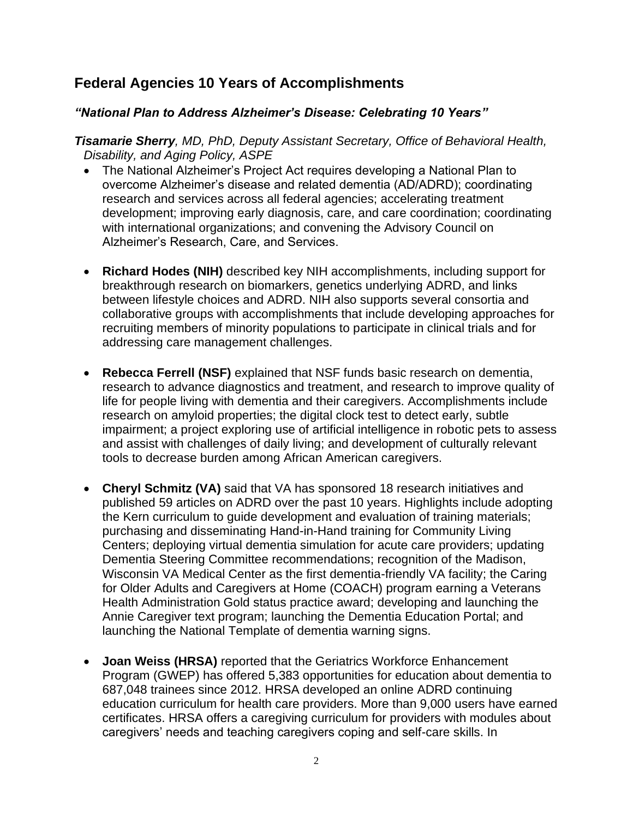# **Federal Agencies 10 Years of Accomplishments**

#### *"National Plan to Address Alzheimer's Disease: Celebrating 10 Years"*

*Tisamarie Sherry, MD, PhD, Deputy Assistant Secretary, Office of Behavioral Health, Disability, and Aging Policy, ASPE*

- The National Alzheimer's Project Act requires developing a National Plan to overcome Alzheimer's disease and related dementia (AD/ADRD); coordinating research and services across all federal agencies; accelerating treatment development; improving early diagnosis, care, and care coordination; coordinating with international organizations; and convening the Advisory Council on Alzheimer's Research, Care, and Services.
- **Richard Hodes (NIH)** described key NIH accomplishments, including support for breakthrough research on biomarkers, genetics underlying ADRD, and links between lifestyle choices and ADRD. NIH also supports several consortia and collaborative groups with accomplishments that include developing approaches for recruiting members of minority populations to participate in clinical trials and for addressing care management challenges.
- **Rebecca Ferrell (NSF)** explained that NSF funds basic research on dementia, research to advance diagnostics and treatment, and research to improve quality of life for people living with dementia and their caregivers. Accomplishments include research on amyloid properties; the digital clock test to detect early, subtle impairment; a project exploring use of artificial intelligence in robotic pets to assess and assist with challenges of daily living; and development of culturally relevant tools to decrease burden among African American caregivers.
- **Cheryl Schmitz (VA)** said that VA has sponsored 18 research initiatives and published 59 articles on ADRD over the past 10 years. Highlights include adopting the Kern curriculum to guide development and evaluation of training materials; purchasing and disseminating Hand-in-Hand training for Community Living Centers; deploying virtual dementia simulation for acute care providers; updating Dementia Steering Committee recommendations; recognition of the Madison, Wisconsin VA Medical Center as the first dementia-friendly VA facility; the Caring for Older Adults and Caregivers at Home (COACH) program earning a Veterans Health Administration Gold status practice award; developing and launching the Annie Caregiver text program; launching the Dementia Education Portal; and launching the National Template of dementia warning signs.
- **Joan Weiss (HRSA)** reported that the Geriatrics Workforce Enhancement Program (GWEP) has offered 5,383 opportunities for education about dementia to 687,048 trainees since 2012. HRSA developed an online ADRD continuing education curriculum for health care providers. More than 9,000 users have earned certificates. HRSA offers a caregiving curriculum for providers with modules about caregivers' needs and teaching caregivers coping and self-care skills. In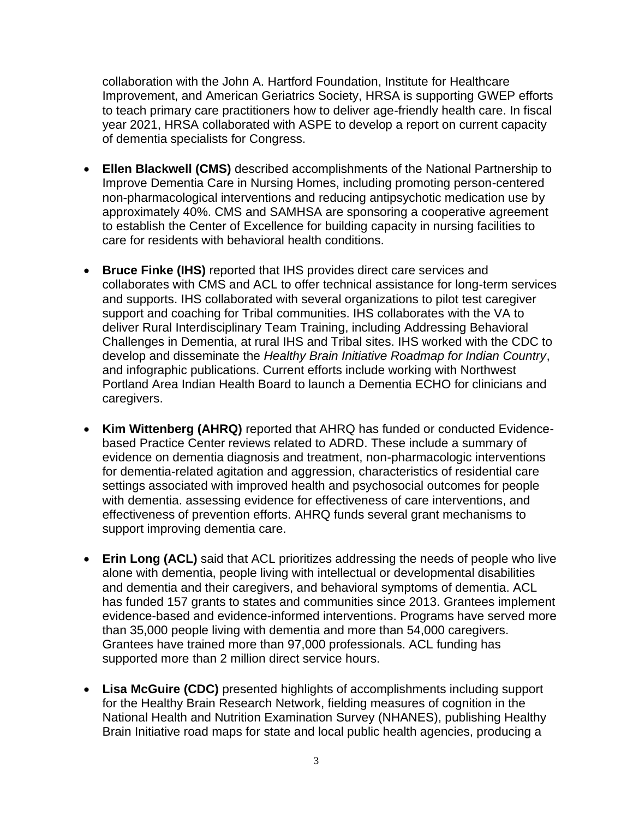collaboration with the John A. Hartford Foundation, Institute for Healthcare Improvement, and American Geriatrics Society, HRSA is supporting GWEP efforts to teach primary care practitioners how to deliver age-friendly health care. In fiscal year 2021, HRSA collaborated with ASPE to develop a report on current capacity of dementia specialists for Congress.

- **Ellen Blackwell (CMS)** described accomplishments of the National Partnership to Improve Dementia Care in Nursing Homes, including promoting person-centered non-pharmacological interventions and reducing antipsychotic medication use by approximately 40%. CMS and SAMHSA are sponsoring a cooperative agreement to establish the Center of Excellence for building capacity in nursing facilities to care for residents with behavioral health conditions.
- **Bruce Finke (IHS)** reported that IHS provides direct care services and collaborates with CMS and ACL to offer technical assistance for long-term services and supports. IHS collaborated with several organizations to pilot test caregiver support and coaching for Tribal communities. IHS collaborates with the VA to deliver Rural Interdisciplinary Team Training, including Addressing Behavioral Challenges in Dementia, at rural IHS and Tribal sites. IHS worked with the CDC to develop and disseminate the *Healthy Brain Initiative Roadmap for Indian Country*, and infographic publications. Current efforts include working with Northwest Portland Area Indian Health Board to launch a Dementia ECHO for clinicians and caregivers.
- **Kim Wittenberg (AHRQ)** reported that AHRQ has funded or conducted Evidencebased Practice Center reviews related to ADRD. These include a summary of evidence on dementia diagnosis and treatment, non-pharmacologic interventions for dementia-related agitation and aggression, characteristics of residential care settings associated with improved health and psychosocial outcomes for people with dementia. assessing evidence for effectiveness of care interventions, and effectiveness of prevention efforts. AHRQ funds several grant mechanisms to support improving dementia care.
- **Erin Long (ACL)** said that ACL prioritizes addressing the needs of people who live alone with dementia, people living with intellectual or developmental disabilities and dementia and their caregivers, and behavioral symptoms of dementia. ACL has funded 157 grants to states and communities since 2013. Grantees implement evidence-based and evidence-informed interventions. Programs have served more than 35,000 people living with dementia and more than 54,000 caregivers. Grantees have trained more than 97,000 professionals. ACL funding has supported more than 2 million direct service hours.
- **Lisa McGuire (CDC)** presented highlights of accomplishments including support for the Healthy Brain Research Network, fielding measures of cognition in the National Health and Nutrition Examination Survey (NHANES), publishing Healthy Brain Initiative road maps for state and local public health agencies, producing a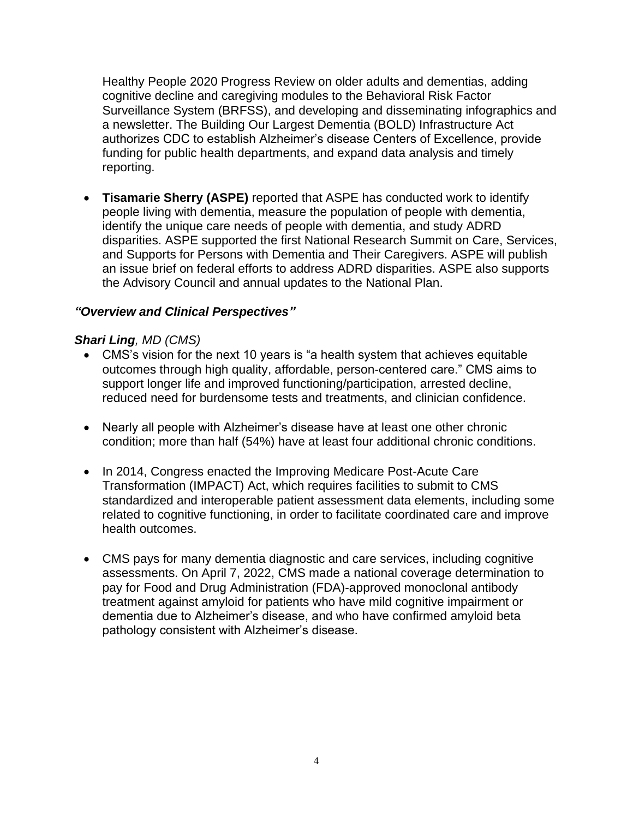Healthy People 2020 Progress Review on older adults and dementias, adding cognitive decline and caregiving modules to the Behavioral Risk Factor Surveillance System (BRFSS), and developing and disseminating infographics and a newsletter. The Building Our Largest Dementia (BOLD) Infrastructure Act authorizes CDC to establish Alzheimer's disease Centers of Excellence, provide funding for public health departments, and expand data analysis and timely reporting.

• **Tisamarie Sherry (ASPE)** reported that ASPE has conducted work to identify people living with dementia, measure the population of people with dementia, identify the unique care needs of people with dementia, and study ADRD disparities. ASPE supported the first National Research Summit on Care, Services, and Supports for Persons with Dementia and Their Caregivers. ASPE will publish an issue brief on federal efforts to address ADRD disparities. ASPE also supports the Advisory Council and annual updates to the National Plan.

#### *"Overview and Clinical Perspectives"*

#### *Shari Ling, MD (CMS)*

- CMS's vision for the next 10 years is "a health system that achieves equitable outcomes through high quality, affordable, person-centered care." CMS aims to support longer life and improved functioning/participation, arrested decline, reduced need for burdensome tests and treatments, and clinician confidence.
- Nearly all people with Alzheimer's disease have at least one other chronic condition; more than half (54%) have at least four additional chronic conditions.
- In 2014, Congress enacted the Improving Medicare Post-Acute Care Transformation (IMPACT) Act, which requires facilities to submit to CMS standardized and interoperable patient assessment data elements, including some related to cognitive functioning, in order to facilitate coordinated care and improve health outcomes.
- CMS pays for many dementia diagnostic and care services, including cognitive assessments. On April 7, 2022, CMS made a national coverage determination to pay for Food and Drug Administration (FDA)-approved monoclonal antibody treatment against amyloid for patients who have mild cognitive impairment or dementia due to Alzheimer's disease, and who have confirmed amyloid beta pathology consistent with Alzheimer's disease.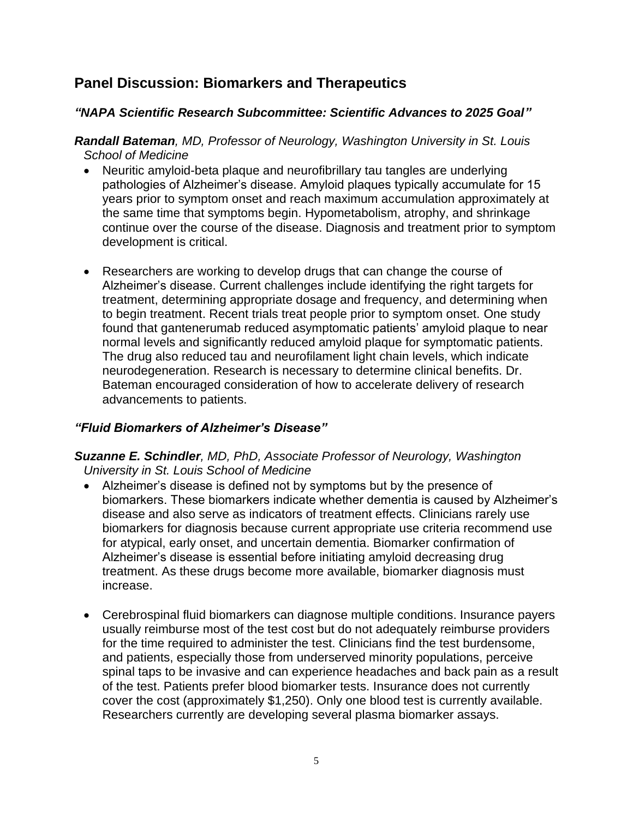# **Panel Discussion: Biomarkers and Therapeutics**

## *"NAPA Scientific Research Subcommittee: Scientific Advances to 2025 Goal"*

*Randall Bateman, MD, Professor of Neurology, Washington University in St. Louis School of Medicine*

- Neuritic amyloid-beta plaque and neurofibrillary tau tangles are underlying pathologies of Alzheimer's disease. Amyloid plaques typically accumulate for 15 years prior to symptom onset and reach maximum accumulation approximately at the same time that symptoms begin. Hypometabolism, atrophy, and shrinkage continue over the course of the disease. Diagnosis and treatment prior to symptom development is critical.
- Researchers are working to develop drugs that can change the course of Alzheimer's disease. Current challenges include identifying the right targets for treatment, determining appropriate dosage and frequency, and determining when to begin treatment. Recent trials treat people prior to symptom onset. One study found that gantenerumab reduced asymptomatic patients' amyloid plaque to near normal levels and significantly reduced amyloid plaque for symptomatic patients. The drug also reduced tau and neurofilament light chain levels, which indicate neurodegeneration. Research is necessary to determine clinical benefits. Dr. Bateman encouraged consideration of how to accelerate delivery of research advancements to patients.

## *"Fluid Biomarkers of Alzheimer's Disease"*

#### *Suzanne E. Schindler, MD, PhD, Associate Professor of Neurology, Washington University in St. Louis School of Medicine*

- Alzheimer's disease is defined not by symptoms but by the presence of biomarkers. These biomarkers indicate whether dementia is caused by Alzheimer's disease and also serve as indicators of treatment effects. Clinicians rarely use biomarkers for diagnosis because current appropriate use criteria recommend use for atypical, early onset, and uncertain dementia. Biomarker confirmation of Alzheimer's disease is essential before initiating amyloid decreasing drug treatment. As these drugs become more available, biomarker diagnosis must increase.
- Cerebrospinal fluid biomarkers can diagnose multiple conditions. Insurance payers usually reimburse most of the test cost but do not adequately reimburse providers for the time required to administer the test. Clinicians find the test burdensome, and patients, especially those from underserved minority populations, perceive spinal taps to be invasive and can experience headaches and back pain as a result of the test. Patients prefer blood biomarker tests. Insurance does not currently cover the cost (approximately \$1,250). Only one blood test is currently available. Researchers currently are developing several plasma biomarker assays.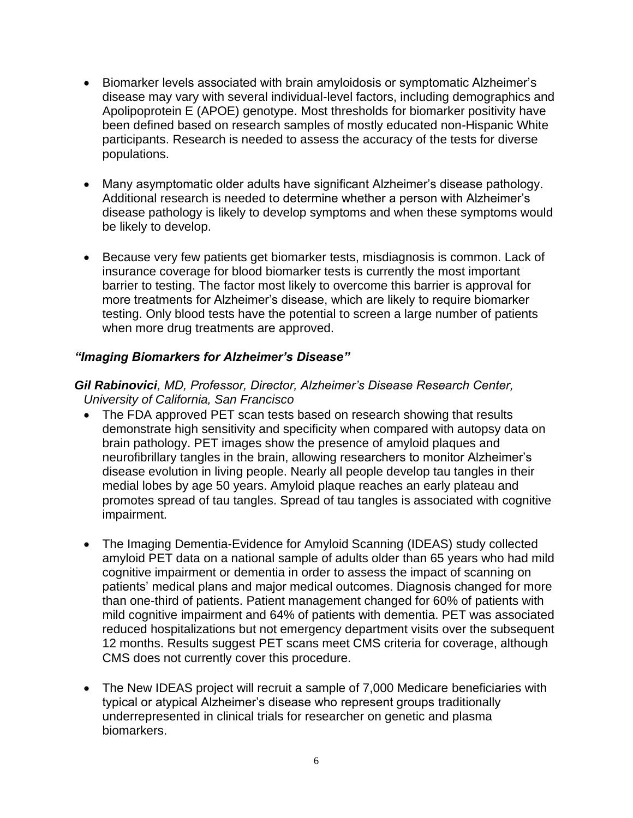- Biomarker levels associated with brain amyloidosis or symptomatic Alzheimer's disease may vary with several individual-level factors, including demographics and Apolipoprotein E (APOE) genotype. Most thresholds for biomarker positivity have been defined based on research samples of mostly educated non-Hispanic White participants. Research is needed to assess the accuracy of the tests for diverse populations.
- Many asymptomatic older adults have significant Alzheimer's disease pathology. Additional research is needed to determine whether a person with Alzheimer's disease pathology is likely to develop symptoms and when these symptoms would be likely to develop.
- Because very few patients get biomarker tests, misdiagnosis is common. Lack of insurance coverage for blood biomarker tests is currently the most important barrier to testing. The factor most likely to overcome this barrier is approval for more treatments for Alzheimer's disease, which are likely to require biomarker testing. Only blood tests have the potential to screen a large number of patients when more drug treatments are approved.

## *"Imaging Biomarkers for Alzheimer's Disease"*

#### *Gil Rabinovici, MD, Professor, Director, Alzheimer's Disease Research Center, University of California, San Francisco*

- The FDA approved PET scan tests based on research showing that results demonstrate high sensitivity and specificity when compared with autopsy data on brain pathology. PET images show the presence of amyloid plaques and neurofibrillary tangles in the brain, allowing researchers to monitor Alzheimer's disease evolution in living people. Nearly all people develop tau tangles in their medial lobes by age 50 years. Amyloid plaque reaches an early plateau and promotes spread of tau tangles. Spread of tau tangles is associated with cognitive impairment.
- The Imaging Dementia-Evidence for Amyloid Scanning (IDEAS) study collected amyloid PET data on a national sample of adults older than 65 years who had mild cognitive impairment or dementia in order to assess the impact of scanning on patients' medical plans and major medical outcomes. Diagnosis changed for more than one-third of patients. Patient management changed for 60% of patients with mild cognitive impairment and 64% of patients with dementia. PET was associated reduced hospitalizations but not emergency department visits over the subsequent 12 months. Results suggest PET scans meet CMS criteria for coverage, although CMS does not currently cover this procedure.
- The New IDEAS project will recruit a sample of 7,000 Medicare beneficiaries with typical or atypical Alzheimer's disease who represent groups traditionally underrepresented in clinical trials for researcher on genetic and plasma biomarkers.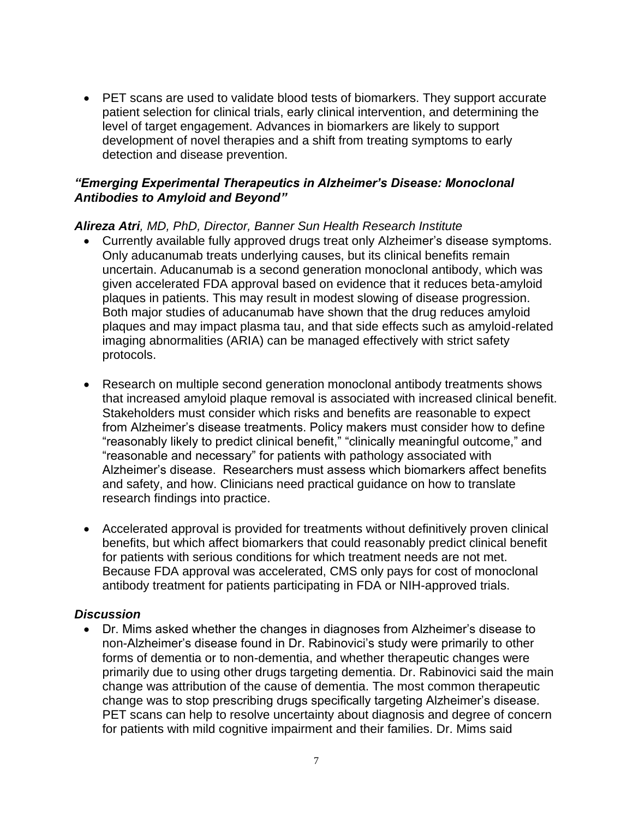• PET scans are used to validate blood tests of biomarkers. They support accurate patient selection for clinical trials, early clinical intervention, and determining the level of target engagement. Advances in biomarkers are likely to support development of novel therapies and a shift from treating symptoms to early detection and disease prevention.

#### *"Emerging Experimental Therapeutics in Alzheimer's Disease: Monoclonal Antibodies to Amyloid and Beyond"*

#### *Alireza Atri, MD, PhD, Director, Banner Sun Health Research Institute*

- Currently available fully approved drugs treat only Alzheimer's disease symptoms. Only aducanumab treats underlying causes, but its clinical benefits remain uncertain. Aducanumab is a second generation monoclonal antibody, which was given accelerated FDA approval based on evidence that it reduces beta-amyloid plaques in patients. This may result in modest slowing of disease progression. Both major studies of aducanumab have shown that the drug reduces amyloid plaques and may impact plasma tau, and that side effects such as amyloid-related imaging abnormalities (ARIA) can be managed effectively with strict safety protocols.
- Research on multiple second generation monoclonal antibody treatments shows that increased amyloid plaque removal is associated with increased clinical benefit. Stakeholders must consider which risks and benefits are reasonable to expect from Alzheimer's disease treatments. Policy makers must consider how to define "reasonably likely to predict clinical benefit," "clinically meaningful outcome," and "reasonable and necessary" for patients with pathology associated with Alzheimer's disease. Researchers must assess which biomarkers affect benefits and safety, and how. Clinicians need practical guidance on how to translate research findings into practice.
- Accelerated approval is provided for treatments without definitively proven clinical benefits, but which affect biomarkers that could reasonably predict clinical benefit for patients with serious conditions for which treatment needs are not met. Because FDA approval was accelerated, CMS only pays for cost of monoclonal antibody treatment for patients participating in FDA or NIH-approved trials.

#### *Discussion*

• Dr. Mims asked whether the changes in diagnoses from Alzheimer's disease to non-Alzheimer's disease found in Dr. Rabinovici's study were primarily to other forms of dementia or to non-dementia, and whether therapeutic changes were primarily due to using other drugs targeting dementia. Dr. Rabinovici said the main change was attribution of the cause of dementia. The most common therapeutic change was to stop prescribing drugs specifically targeting Alzheimer's disease. PET scans can help to resolve uncertainty about diagnosis and degree of concern for patients with mild cognitive impairment and their families. Dr. Mims said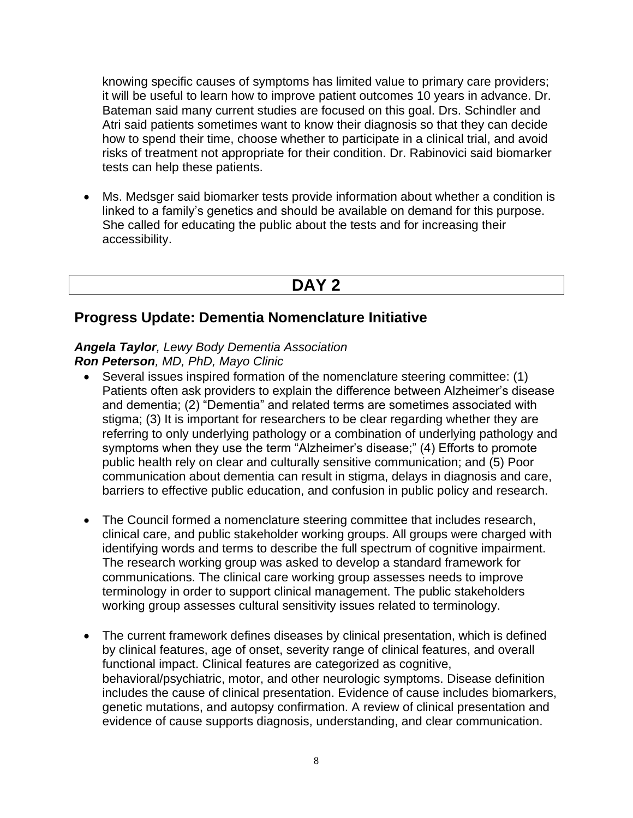knowing specific causes of symptoms has limited value to primary care providers; it will be useful to learn how to improve patient outcomes 10 years in advance. Dr. Bateman said many current studies are focused on this goal. Drs. Schindler and Atri said patients sometimes want to know their diagnosis so that they can decide how to spend their time, choose whether to participate in a clinical trial, and avoid risks of treatment not appropriate for their condition. Dr. Rabinovici said biomarker tests can help these patients.

• Ms. Medsger said biomarker tests provide information about whether a condition is linked to a family's genetics and should be available on demand for this purpose. She called for educating the public about the tests and for increasing their accessibility.

# **DAY 2**

## **Progress Update: Dementia Nomenclature Initiative**

#### *Angela Taylor, Lewy Body Dementia Association Ron Peterson, MD, PhD, Mayo Clinic*

- Several issues inspired formation of the nomenclature steering committee: (1) Patients often ask providers to explain the difference between Alzheimer's disease and dementia; (2) "Dementia" and related terms are sometimes associated with stigma; (3) It is important for researchers to be clear regarding whether they are referring to only underlying pathology or a combination of underlying pathology and symptoms when they use the term "Alzheimer's disease;" (4) Efforts to promote public health rely on clear and culturally sensitive communication; and (5) Poor communication about dementia can result in stigma, delays in diagnosis and care, barriers to effective public education, and confusion in public policy and research.
- The Council formed a nomenclature steering committee that includes research, clinical care, and public stakeholder working groups. All groups were charged with identifying words and terms to describe the full spectrum of cognitive impairment. The research working group was asked to develop a standard framework for communications. The clinical care working group assesses needs to improve terminology in order to support clinical management. The public stakeholders working group assesses cultural sensitivity issues related to terminology.
- The current framework defines diseases by clinical presentation, which is defined by clinical features, age of onset, severity range of clinical features, and overall functional impact. Clinical features are categorized as cognitive, behavioral/psychiatric, motor, and other neurologic symptoms. Disease definition includes the cause of clinical presentation. Evidence of cause includes biomarkers, genetic mutations, and autopsy confirmation. A review of clinical presentation and evidence of cause supports diagnosis, understanding, and clear communication.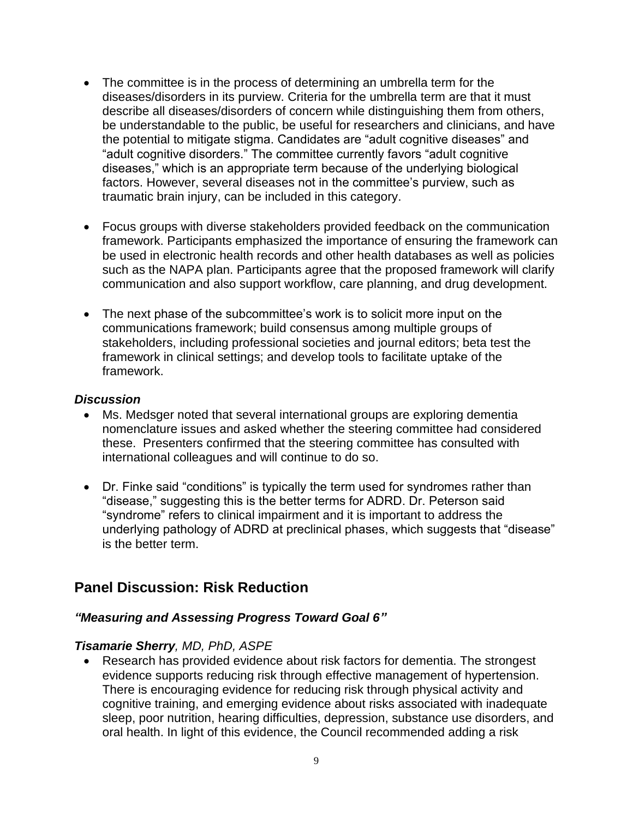- The committee is in the process of determining an umbrella term for the diseases/disorders in its purview. Criteria for the umbrella term are that it must describe all diseases/disorders of concern while distinguishing them from others, be understandable to the public, be useful for researchers and clinicians, and have the potential to mitigate stigma. Candidates are "adult cognitive diseases" and "adult cognitive disorders." The committee currently favors "adult cognitive diseases," which is an appropriate term because of the underlying biological factors. However, several diseases not in the committee's purview, such as traumatic brain injury, can be included in this category.
- Focus groups with diverse stakeholders provided feedback on the communication framework. Participants emphasized the importance of ensuring the framework can be used in electronic health records and other health databases as well as policies such as the NAPA plan. Participants agree that the proposed framework will clarify communication and also support workflow, care planning, and drug development.
- The next phase of the subcommittee's work is to solicit more input on the communications framework; build consensus among multiple groups of stakeholders, including professional societies and journal editors; beta test the framework in clinical settings; and develop tools to facilitate uptake of the framework.

#### *Discussion*

- Ms. Medsger noted that several international groups are exploring dementia nomenclature issues and asked whether the steering committee had considered these. Presenters confirmed that the steering committee has consulted with international colleagues and will continue to do so.
- Dr. Finke said "conditions" is typically the term used for syndromes rather than "disease," suggesting this is the better terms for ADRD. Dr. Peterson said "syndrome" refers to clinical impairment and it is important to address the underlying pathology of ADRD at preclinical phases, which suggests that "disease" is the better term.

## **Panel Discussion: Risk Reduction**

#### *"Measuring and Assessing Progress Toward Goal 6"*

#### *Tisamarie Sherry, MD, PhD, ASPE*

• Research has provided evidence about risk factors for dementia. The strongest evidence supports reducing risk through effective management of hypertension. There is encouraging evidence for reducing risk through physical activity and cognitive training, and emerging evidence about risks associated with inadequate sleep, poor nutrition, hearing difficulties, depression, substance use disorders, and oral health. In light of this evidence, the Council recommended adding a risk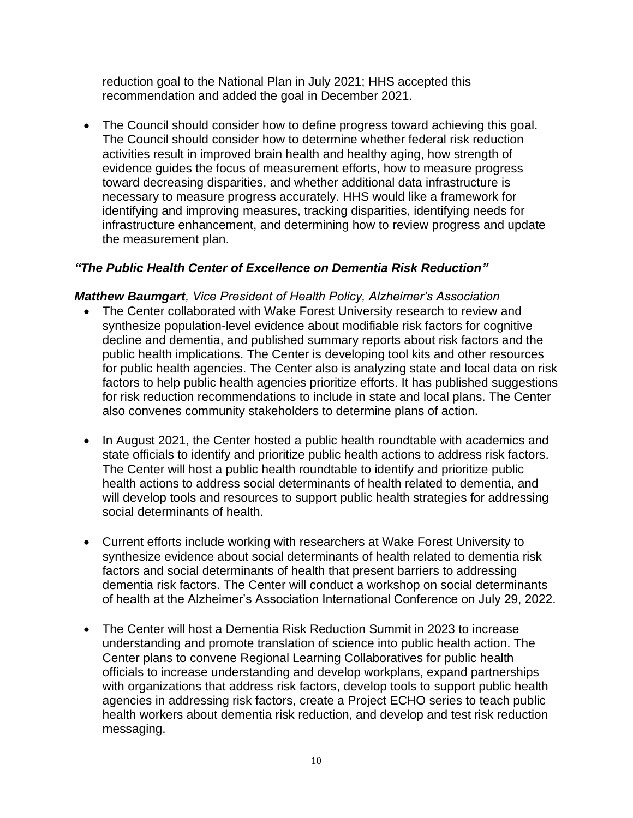reduction goal to the National Plan in July 2021; HHS accepted this recommendation and added the goal in December 2021.

• The Council should consider how to define progress toward achieving this goal. The Council should consider how to determine whether federal risk reduction activities result in improved brain health and healthy aging, how strength of evidence guides the focus of measurement efforts, how to measure progress toward decreasing disparities, and whether additional data infrastructure is necessary to measure progress accurately. HHS would like a framework for identifying and improving measures, tracking disparities, identifying needs for infrastructure enhancement, and determining how to review progress and update the measurement plan.

## *"The Public Health Center of Excellence on Dementia Risk Reduction"*

## *Matthew Baumgart, Vice President of Health Policy, Alzheimer's Association*

- The Center collaborated with Wake Forest University research to review and synthesize population-level evidence about modifiable risk factors for cognitive decline and dementia, and published summary reports about risk factors and the public health implications. The Center is developing tool kits and other resources for public health agencies. The Center also is analyzing state and local data on risk factors to help public health agencies prioritize efforts. It has published suggestions for risk reduction recommendations to include in state and local plans. The Center also convenes community stakeholders to determine plans of action.
- In August 2021, the Center hosted a public health roundtable with academics and state officials to identify and prioritize public health actions to address risk factors. The Center will host a public health roundtable to identify and prioritize public health actions to address social determinants of health related to dementia, and will develop tools and resources to support public health strategies for addressing social determinants of health.
- Current efforts include working with researchers at Wake Forest University to synthesize evidence about social determinants of health related to dementia risk factors and social determinants of health that present barriers to addressing dementia risk factors. The Center will conduct a workshop on social determinants of health at the Alzheimer's Association International Conference on July 29, 2022.
- The Center will host a Dementia Risk Reduction Summit in 2023 to increase understanding and promote translation of science into public health action. The Center plans to convene Regional Learning Collaboratives for public health officials to increase understanding and develop workplans, expand partnerships with organizations that address risk factors, develop tools to support public health agencies in addressing risk factors, create a Project ECHO series to teach public health workers about dementia risk reduction, and develop and test risk reduction messaging.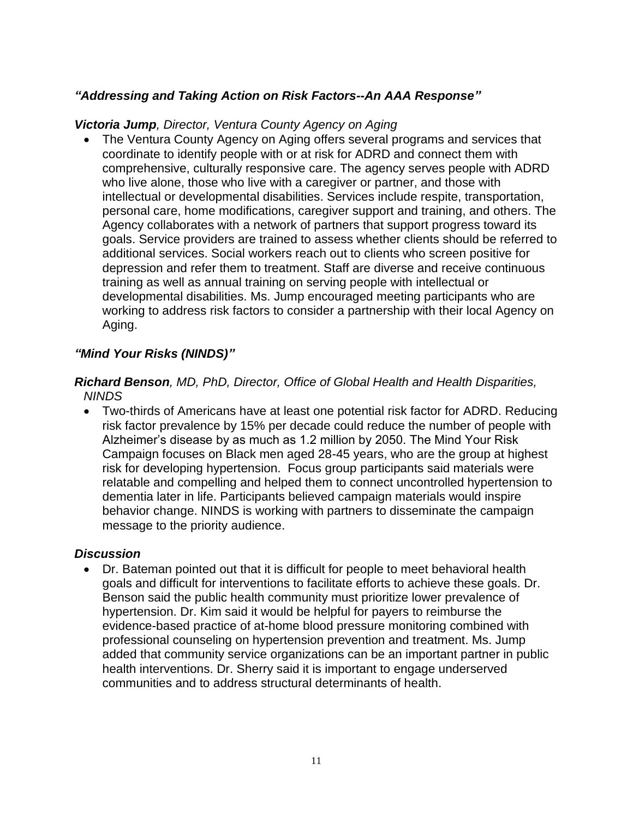## *"Addressing and Taking Action on Risk Factors--An AAA Response"*

#### *Victoria Jump, Director, Ventura County Agency on Aging*

• The Ventura County Agency on Aging offers several programs and services that coordinate to identify people with or at risk for ADRD and connect them with comprehensive, culturally responsive care. The agency serves people with ADRD who live alone, those who live with a caregiver or partner, and those with intellectual or developmental disabilities. Services include respite, transportation, personal care, home modifications, caregiver support and training, and others. The Agency collaborates with a network of partners that support progress toward its goals. Service providers are trained to assess whether clients should be referred to additional services. Social workers reach out to clients who screen positive for depression and refer them to treatment. Staff are diverse and receive continuous training as well as annual training on serving people with intellectual or developmental disabilities. Ms. Jump encouraged meeting participants who are working to address risk factors to consider a partnership with their local Agency on Aging.

## *"Mind Your Risks (NINDS)"*

#### *Richard Benson, MD, PhD, Director, Office of Global Health and Health Disparities, NINDS*

• Two-thirds of Americans have at least one potential risk factor for ADRD. Reducing risk factor prevalence by 15% per decade could reduce the number of people with Alzheimer's disease by as much as 1.2 million by 2050. The Mind Your Risk Campaign focuses on Black men aged 28-45 years, who are the group at highest risk for developing hypertension. Focus group participants said materials were relatable and compelling and helped them to connect uncontrolled hypertension to dementia later in life. Participants believed campaign materials would inspire behavior change. NINDS is working with partners to disseminate the campaign message to the priority audience.

#### *Discussion*

• Dr. Bateman pointed out that it is difficult for people to meet behavioral health goals and difficult for interventions to facilitate efforts to achieve these goals. Dr. Benson said the public health community must prioritize lower prevalence of hypertension. Dr. Kim said it would be helpful for payers to reimburse the evidence-based practice of at-home blood pressure monitoring combined with professional counseling on hypertension prevention and treatment. Ms. Jump added that community service organizations can be an important partner in public health interventions. Dr. Sherry said it is important to engage underserved communities and to address structural determinants of health.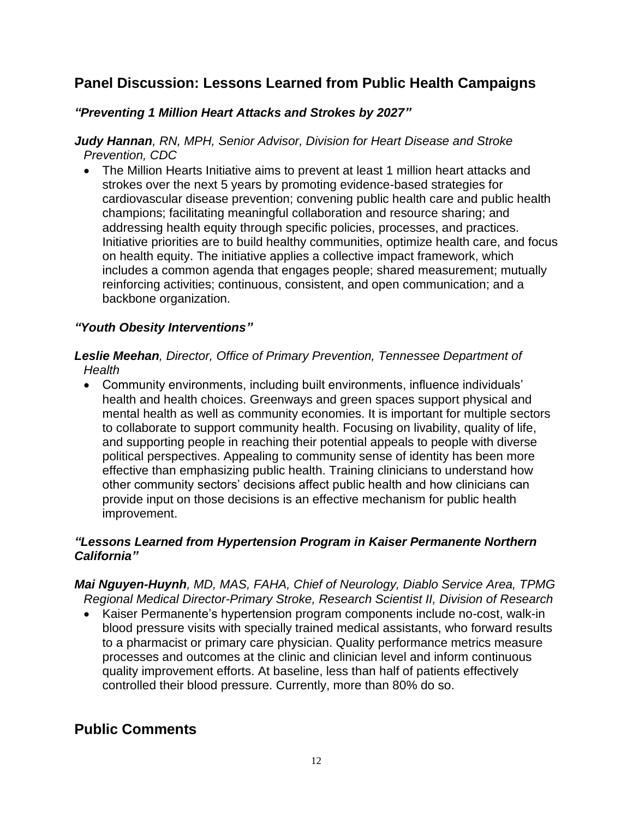# **Panel Discussion: Lessons Learned from Public Health Campaigns**

## *"Preventing 1 Million Heart Attacks and Strokes by 2027"*

*Judy Hannan, RN, MPH, Senior Advisor, Division for Heart Disease and Stroke Prevention, CDC*

• The Million Hearts Initiative aims to prevent at least 1 million heart attacks and strokes over the next 5 years by promoting evidence-based strategies for cardiovascular disease prevention; convening public health care and public health champions; facilitating meaningful collaboration and resource sharing; and addressing health equity through specific policies, processes, and practices. Initiative priorities are to build healthy communities, optimize health care, and focus on health equity. The initiative applies a collective impact framework, which includes a common agenda that engages people; shared measurement; mutually reinforcing activities; continuous, consistent, and open communication; and a backbone organization.

## *"Youth Obesity Interventions"*

#### *Leslie Meehan, Director, Office of Primary Prevention, Tennessee Department of Health*

• Community environments, including built environments, influence individuals' health and health choices. Greenways and green spaces support physical and mental health as well as community economies. It is important for multiple sectors to collaborate to support community health. Focusing on livability, quality of life, and supporting people in reaching their potential appeals to people with diverse political perspectives. Appealing to community sense of identity has been more effective than emphasizing public health. Training clinicians to understand how other community sectors' decisions affect public health and how clinicians can provide input on those decisions is an effective mechanism for public health improvement.

#### *"Lessons Learned from Hypertension Program in Kaiser Permanente Northern California"*

*Mai Nguyen-Huynh, MD, MAS, FAHA, Chief of Neurology, Diablo Service Area, TPMG Regional Medical Director-Primary Stroke, Research Scientist II, Division of Research*

• Kaiser Permanente's hypertension program components include no-cost, walk-in blood pressure visits with specially trained medical assistants, who forward results to a pharmacist or primary care physician. Quality performance metrics measure processes and outcomes at the clinic and clinician level and inform continuous quality improvement efforts. At baseline, less than half of patients effectively controlled their blood pressure. Currently, more than 80% do so.

# **Public Comments**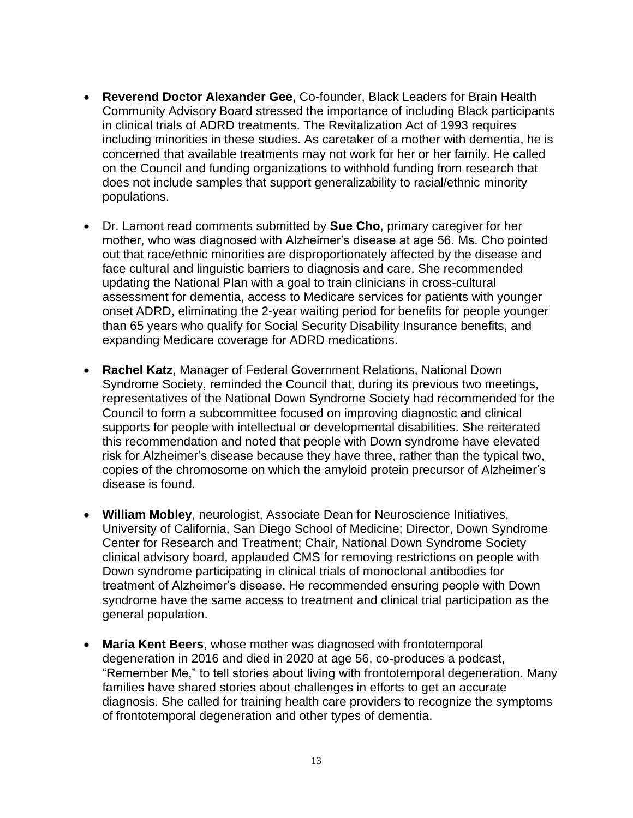- **Reverend Doctor Alexander Gee**, Co-founder, Black Leaders for Brain Health Community Advisory Board stressed the importance of including Black participants in clinical trials of ADRD treatments. The Revitalization Act of 1993 requires including minorities in these studies. As caretaker of a mother with dementia, he is concerned that available treatments may not work for her or her family. He called on the Council and funding organizations to withhold funding from research that does not include samples that support generalizability to racial/ethnic minority populations.
- Dr. Lamont read comments submitted by **Sue Cho**, primary caregiver for her mother, who was diagnosed with Alzheimer's disease at age 56. Ms. Cho pointed out that race/ethnic minorities are disproportionately affected by the disease and face cultural and linguistic barriers to diagnosis and care. She recommended updating the National Plan with a goal to train clinicians in cross-cultural assessment for dementia, access to Medicare services for patients with younger onset ADRD, eliminating the 2-year waiting period for benefits for people younger than 65 years who qualify for Social Security Disability Insurance benefits, and expanding Medicare coverage for ADRD medications.
- **Rachel Katz**, Manager of Federal Government Relations, National Down Syndrome Society, reminded the Council that, during its previous two meetings, representatives of the National Down Syndrome Society had recommended for the Council to form a subcommittee focused on improving diagnostic and clinical supports for people with intellectual or developmental disabilities. She reiterated this recommendation and noted that people with Down syndrome have elevated risk for Alzheimer's disease because they have three, rather than the typical two, copies of the chromosome on which the amyloid protein precursor of Alzheimer's disease is found.
- **William Mobley**, neurologist, Associate Dean for Neuroscience Initiatives, University of California, San Diego School of Medicine; Director, Down Syndrome Center for Research and Treatment; Chair, National Down Syndrome Society clinical advisory board, applauded CMS for removing restrictions on people with Down syndrome participating in clinical trials of monoclonal antibodies for treatment of Alzheimer's disease. He recommended ensuring people with Down syndrome have the same access to treatment and clinical trial participation as the general population.
- **Maria Kent Beers**, whose mother was diagnosed with frontotemporal degeneration in 2016 and died in 2020 at age 56, co-produces a podcast, "Remember Me," to tell stories about living with frontotemporal degeneration. Many families have shared stories about challenges in efforts to get an accurate diagnosis. She called for training health care providers to recognize the symptoms of frontotemporal degeneration and other types of dementia.